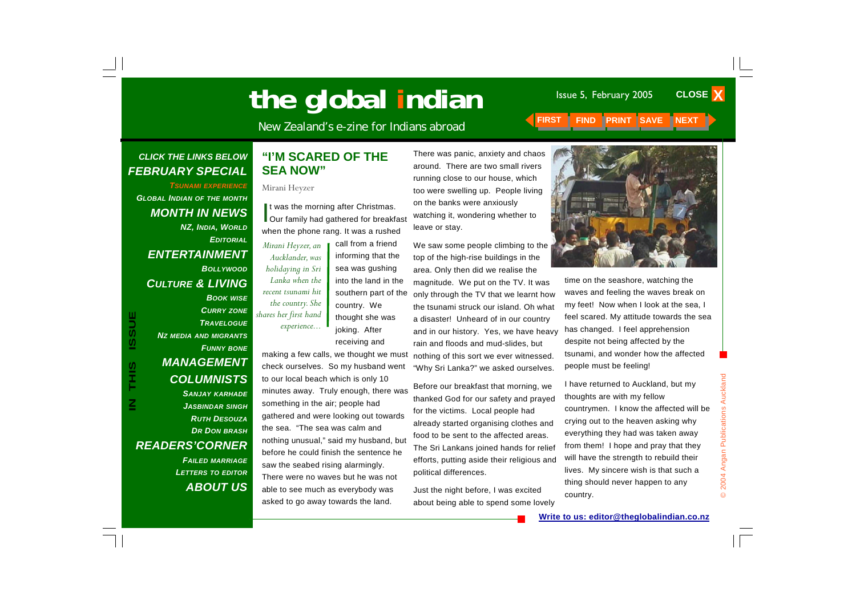# **The global indian** Issue 5, February 2005

**CLOSE X** 

New Zealand's e-zine for Indians abroad **FIRST FIND PRINT SAVE NEXT INC.** 

#### *CLICK THE LINKS BELOW FEBRUARY SPECIAL*

*TSUNAMI EXPERIENCEGLOBAL INDIAN OF THE MONTH MONTH IN NEWS NZ, INDIA, WORLD EDITORIALENTERTAINMENT BOLLYWOODCULTURE & LIVING BOOK WISE CURRY ZONE TRAVELOGUENZ MEDIA AND MIGRANTS FUNNY BONE MANAGEMENT COLUMNISTS SANJAY KARHADE JASBINDAR SINGH RUTH DESOUZADR DON BRASH READERS'CORNER FAILED MARRIAGE*

**IN THIS ISSUE**

S<br>H<br>H<br>H

**USSI** 

*LETTERS TO EDITOR*

*ABOUT US*

#### **"I'M SCARED OF THE SEA NOW"**

Mirani Heyzer

It was the morning after Christmas.<br>Our family had gathered for breakfast when the phone rang. It was a rushed

*Mirani Heyzer, an Aucklander, was holidaying in Sri Lanka when the recent tsunami hit the country. She shares her first hand experience...* 

informing that the sea was gushing into the land in the southern part of the country. We thought she was joking. After receiving and

call from a friend

making a few calls, we thought we must check ourselves. So my husband went to our local beach which is only 10 minutes away. Truly enough, there was something in the air; people had gathered and were looking out towards the sea. "The sea was calm and nothing unusual," said my husband, but before he could finish the sentence he saw the seabed rising alarmingly. There were no waves but he was not able to see much as everybody was asked to go away towards the land.

There was panic, anxiety and chaos around. There are two small rivers running close to our house, which too were swelling up. People living on the banks were anxiously watching it, wondering whether to leave or stay.

We saw some people climbing to the top of the high-rise buildings in the area. Only then did we realise the magnitude. We put on the TV. It was only through the TV that we learnt how the tsunami struck our island. Oh what a disaster! Unheard of in our country and in our history. Yes, we have heavy rain and floods and mud-slides, but nothing of this sort we ever witnessed. "Why Sri Lanka?" we asked ourselves.

Before our breakfast that morning, we thanked God for our safety and prayed for the victims. Local people had already started organising clothes and food to be sent to the affected areas. The Sri Lankans joined hands for relief efforts, putting aside their religious and political differences.

Just the night before, I was excited about being able to spend some lovely



time on the seashore, watching the waves and feeling the waves break on my feet! Now when I look at the sea, I feel scared. My attitude towards the sea has changed. I feel apprehension despite not being affected by the tsunami, and wonder how the affected people must be feeling!

I have returned to Auckland, but my thoughts are with my fellow countrymen. I know the affected will be crying out to the heaven asking why everything they had was taken away from them! I hope and pray that they will have the strength to rebuild their lives. My sincere wish is that such a thing should never happen to any country.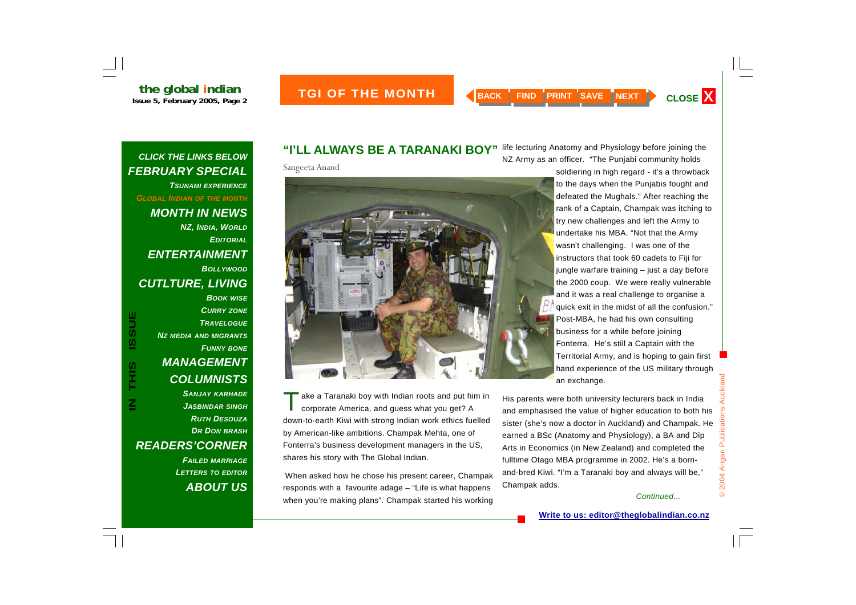*CLICK THE LINKS BELOW FEBRUARY SPECIAL TSUNAMI EXPERIENCEGLOBAL INDIAN OF THE MONTH MONTH IN NEWS NZ, INDIA, WORLD EDITORIALENTERTAINMENT BOLLYWOODCUTLTURE, LIVING BOOK WISE*

#### *CURRY ZONE TRAVELOGUENZ MEDIA AND MIGRANTS FUNNY BONE MANAGEMENT COLUMNISTS SANJAY KARHADE JASBINDAR SINGH RUTH DESOUZADR DON BRASH*

*READERS'CORNER FAILED MARRIAGE LETTERS TO EDITOR ABOUT US*

#### **"I'LL ALWAYS BE A TARANAKI BOY"**

Sangeeta Anand



ake a Taranaki boy with Indian roots and put him in corporate America, and guess what you get? A down-to-earth Kiwi with strong Indian work ethics fuelled by American-like ambitions. Champak Mehta, one of Fonterra's business development managers in the US, shares his story with The Global Indian.

 When asked how he chose his present career, Champak responds with a favourite adage – "Life is what happens when you're making plans". Champak started his working

life lecturing Anatomy and Physiology before joining the NZ Army as an officer. "The Punjabi community holds

> soldiering in high regard - it's a throwback to the days when the Punjabis fought and defeated the Mughals." After reaching the rank of a Captain, Champak was itching to try new challenges and left the Army to undertake his MBA. "Not that the Army wasn't challenging. I was one of the instructors that took 60 cadets to Fiji for jungle warfare training – just a day before the 2000 coup. We were really vulnerable and it was a real challenge to organise a quick exit in the midst of all the confusion." Post-MBA, he had his own consulting business for a while before joining Fonterra. He's still a Captain with the Territorial Army, and is hoping to gain first hand experience of the US military through an exchange.

His parents were both university lecturers back in India and emphasised the value of higher education to both his sister (she's now a doctor in Auckland) and Champak. He earned a BSc (Anatomy and Physiology), a BA and Dip Arts in Economics (in New Zealand) and completed the fulltime Otago MBA programme in 2002. He's a bornand-bred Kiwi. "I'm a Taranaki boy and always will be," Champak adds.

#### *Continued...*

© 2004 Angan Publications Auckland

2004 Angan Publications

 $\odot$ 

Auckland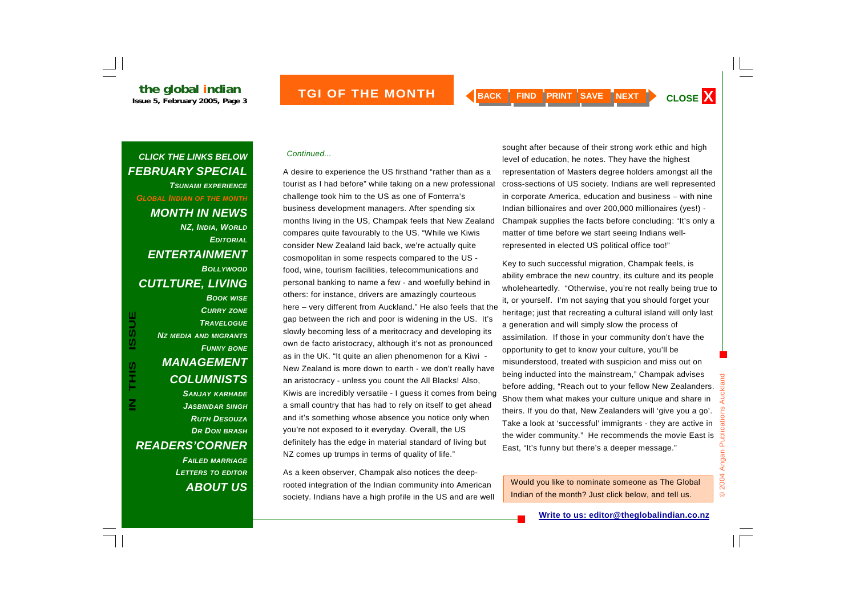### *Continued... CLICK THE LINKS BELOW FEBRUARY SPECIAL TSUNAMI EXPERIENCEGLOBAL INDIAN OF THE MONTH MONTH IN NEWS NZ, INDIA, WORLD EDITORIALENTERTAINMENT BOLLYWOODCUTLTURE, LIVING BOOK WISE CURRY ZONE* **ISSUE IN THIS ISSUE***TRAVELOGUENZ MEDIA AND MIGRANTS*

*FUNNY BONE MANAGEMENT COLUMNISTS SANJAY KARHADE JASBINDAR SINGH RUTH DESOUZADR DON BRASH READERS'CORNER FAILED MARRIAGE*

SIHL<br>T

*LETTERS TO EDITOR ABOUT US*

A desire to experience the US firsthand "rather than as a tourist as I had before" while taking on a new professional challenge took him to the US as one of Fonterra's business development managers. After spending six months living in the US, Champak feels that New Zealand compares quite favourably to the US. "While we Kiwis consider New Zealand laid back, we're actually quite cosmopolitan in some respects compared to the US food, wine, tourism facilities, telecommunications and personal banking to name a few - and woefully behind in others: for instance, drivers are amazingly courteous here – very different from Auckland." He also feels that the gap between the rich and poor is widening in the US. It's slowly becoming less of a meritocracy and developing its own de facto aristocracy, although it's not as pronounced as in the UK. "It quite an alien phenomenon for a Kiwi - New Zealand is more down to earth - we don't really have an aristocracy - unless you count the All Blacks! Also, Kiwis are incredibly versatile - I guess it comes from being a small country that has had to rely on itself to get ahead and it's something whose absence you notice only when you're not exposed to it everyday. Overall, the US definitely has the edge in material standard of living but NZ comes up trumps in terms of quality of life."

As a keen observer, Champak also notices the deeprooted integration of the Indian community into American society. Indians have a high profile in the US and are well

sought after because of their strong work ethic and high level of education, he notes. They have the highest representation of Masters degree holders amongst all the cross-sections of US society. Indians are well represented in corporate America, education and business – with nine Indian billionaires and over 200,000 millionaires (yes!) - Champak supplies the facts before concluding: "It's only a matter of time before we start seeing Indians wellrepresented in elected US political office too!"

Key to such successful migration, Champak feels, is ability embrace the new country, its culture and its people wholeheartedly. "Otherwise, you're not really being true to it, or yourself. I'm not saying that you should forget your heritage; just that recreating a cultural island will only last a generation and will simply slow the process of assimilation. If those in your community don't have the opportunity to get to know your culture, you'll be misunderstood, treated with suspicion and miss out on being inducted into the mainstream," Champak advises before adding, "Reach out to your fellow New Zealanders. Show them what makes your culture unique and share in theirs. If you do that, New Zealanders will 'give you a go'. Take a look at 'successful' immigrants - they are active in the wider community." He recommends the movie East is East, "It's funny but there's a deeper message."

Would you like to nominate someone as The Global Indian of the month? Just click below, and tell us.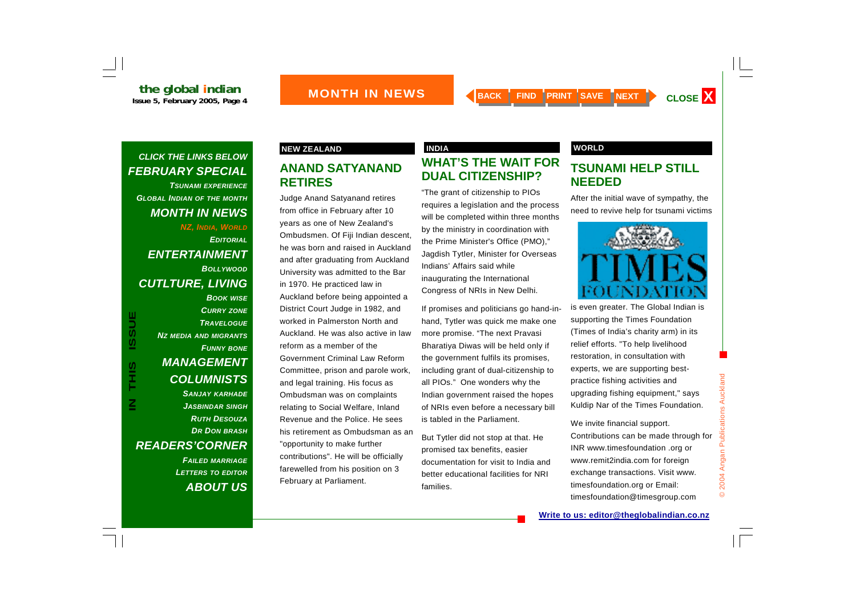

*TSUNAMI EXPERIENCEGLOBAL INDIAN OF THE MONTH MONTH IN NEWS NZ, INDIA, WORLD EDITORIALENTERTAINMENT BOLLYWOODCUTLTURE, LIVING BOOK WISE*

*CURRY ZONE*

#### *TRAVELOGUENZ MEDIA AND MIGRANTS FUNNY BONE MANAGEMENT COLUMNISTS SANJAY KARHADE JASBINDAR SINGH RUTH DESOUZADR DON BRASH READERS'CORNER FAILED MARRIAGE LETTERS TO EDITOR ABOUT US*

#### **ANAND SATYANAND RETIRES**

Judge Anand Satyanand retires from office in February after 10 years as one of New Zealand's Ombudsmen. Of Fiji Indian descent, he was born and raised in Auckland and after graduating from Auckland University was admitted to the Bar in 1970. He practiced law in Auckland before being appointed a District Court Judge in 1982, and worked in Palmerston North and Auckland. He was also active in law reform as a member of the Government Criminal Law Reform Committee, prison and parole work, and legal training. His focus as Ombudsman was on complaints relating to Social Welfare, Inland Revenue and the Police. He sees his retirement as Ombudsman as an "opportunity to make further contributions". He will be officially farewelled from his position on 3 February at Parliament.

#### **NEW ZEALAND CONSUMINATION INDIA** INDIA AND MORLD **WHAT'S THE WAIT FOR DUAL CITIZENSHIP?**

"The grant of citizenship to PIOs requires a legislation and the process will be completed within three months by the ministry in coordination with the Prime Minister's Office (PMO)," Jagdish Tytler, Minister for Overseas Indians' Affairs said while inaugurating the International Congress of NRIs in New Delhi.

If promises and politicians go hand-inhand, Tytler was quick me make one more promise. "The next Pravasi Bharatiya Diwas will be held only if the government fulfils its promises, including grant of dual-citizenship to all PIOs." One wonders why the Indian government raised the hopes of NRIs even before a necessary bill is tabled in the Parliament.

But Tytler did not stop at that. He promised tax benefits, easier documentation for visit to India and better educational facilities for NRI families.

#### **TSUNAMI HELP STILL NEEDED**

After the initial wave of sympathy, the need to revive help for tsunami victims



is even greater. The Global Indian is supporting the Times Foundation (Times of India's charity arm) in its relief efforts. "To help livelihood restoration, in consultation with experts, we are supporting bestpractice fishing activities and upgrading fishing equipment," says Kuldip Nar of the Times Foundation.

We invite financial support. Contributions can be made through for INR www.timesfoundation .org or www.remit2india.com for foreign exchange transactions. Visit www. timesfoundation.org or Email: timesfoundation@timesgroup.com

© 2004 Angan Publications Auckland

 $\odot$ 

2004 Angan Publications Auckland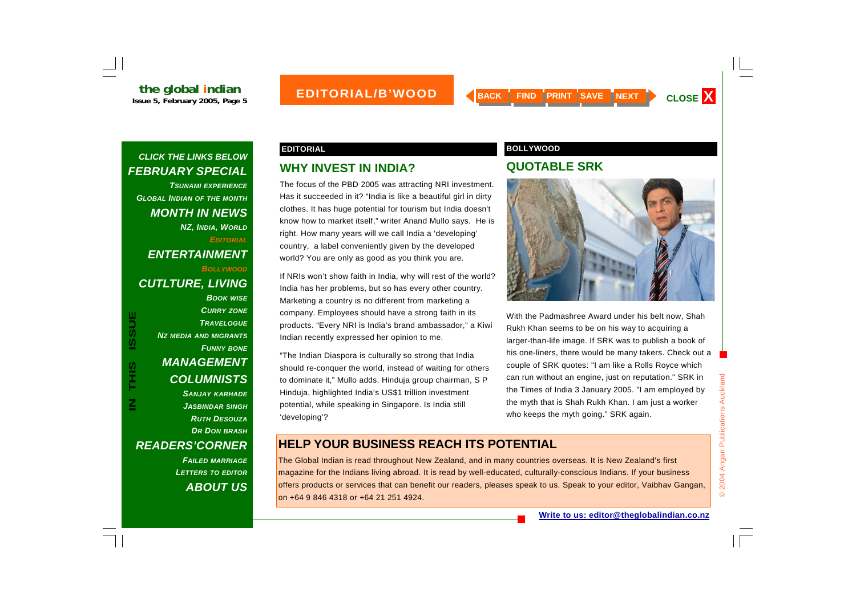*TSUNAMI EXPERIENCEGLOBAL INDIAN OF THE MONTH MONTH IN NEWS NZ, INDIA, WORLD EDITORIALENTERTAINMENT BOLLYWOOD CUTLTURE, LIVING BOOK WISE CURRY ZONE*

*TRAVELOGUENZ MEDIA AND MIGRANTS FUNNY BONE MANAGEMENT COLUMNISTS SANJAY KARHADE JASBINDAR SINGH RUTH DESOUZADR DON BRASH READERS'CORNER FAILED MARRIAGE LETTERS TO EDITOR*

*ABOUT US*

#### **WHY INVEST IN INDIA?**

The focus of the PBD 2005 was attracting NRI investment. Has it succeeded in it? "India is like a beautiful girl in dirty clothes. It has huge potential for tourism but India doesn't know how to market itself," writer Anand Mullo says. He is right. How many years will we call India a 'developing' country, a label conveniently given by the developed world? You are only as good as you think you are.

If NRIs won't show faith in India, why will rest of the world? India has her problems, but so has every other country. Marketing a country is no different from marketing a company. Employees should have a strong faith in its products. "Every NRI is India's brand ambassador," a Kiwi Indian recently expressed her opinion to me.

"The Indian Diaspora is culturally so strong that India should re-conquer the world, instead of waiting for others to dominate it," Mullo adds. Hinduja group chairman, S P Hinduja, highlighted India's US\$1 trillion investment potential, while speaking in Singapore. Is India still 'developing'?

#### **EDITORIAL BOLLYWOOD**

#### **QUOTABLE SRK**



With the Padmashree Award under his belt now, Shah Rukh Khan seems to be on his way to acquiring a larger-than-life image. If SRK was to publish a book of his one-liners, there would be many takers. Check out a couple of SRK quotes: "I am like a Rolls Royce which can run without an engine, just on reputation." SRK in the Times of India 3 January 2005. "I am employed by the myth that is Shah Rukh Khan. I am just a worker who keeps the myth going." SRK again.

#### **HELP YOUR BUSINESS REACH ITS POTENTIAL**

The Global Indian is read throughout New Zealand, and in many countries overseas. It is New Zealand's first magazine for the Indians living abroad. It is read by well-educated, culturally-conscious Indians. If your business offers products or services that can benefit our readers, pleases speak to us. Speak to your editor, Vaibhav Gangan, on +64 9 846 4318 or +64 21 251 4924.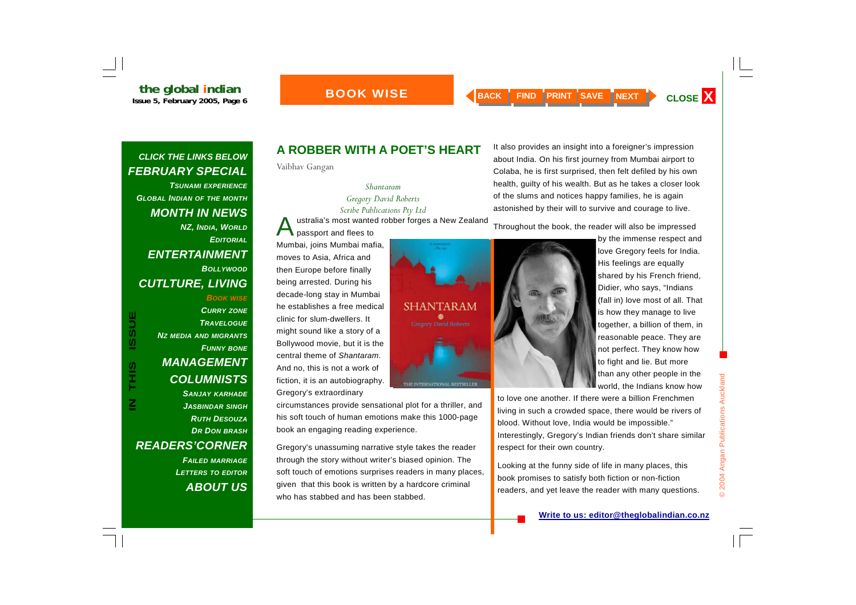#### **BOOK WISE**

#### *CLICK THE LINKS BELOW FEBRUARY SPECIAL*

*TSUNAMI EXPERIENCEGLOBAL INDIAN OF THE MONTH MONTH IN NEWS NZ, INDIA, WORLD EDITORIALENTERTAINMENT BOLLYWOODCUTLTURE, LIVING* 

**ISSUE IN THIS ISSUE**SIHZ

*BOOK WISE CURRY ZONE TRAVELOGUENZ MEDIA AND MIGRANTS FUNNY BONE MANAGEMENT COLUMNISTS SANJAY KARHADE JASBINDAR SINGH RUTH DESOUZADR DON BRASH READERS'CORNER* 

> *FAILED MARRIAGE LETTERS TO EDITOR ABOUT US*

### **A ROBBER WITH A POET'S HEART**

Vaibhav Gangan

*Shantaram Gregory David Roberts Scribe Publications Pty Ltd*  ustralia's most wanted robber forges a New Zealand passport and flees to

Mumbai, joins Mumbai mafia, moves to Asia, Africa and then Europe before finally being arrested. During his decade-long stay in Mumbai he establishes a free medical clinic for slum-dwellers. It might sound like a story of a Bollywood movie, but it is the central theme of *Shantaram*. And no, this is not a work of fiction, it is an autobiography. Gregory's extraordinary



circumstances provide sensational plot for a thriller, and his soft touch of human emotions make this 1000-page book an engaging reading experience.

Gregory's unassuming narrative style takes the reader through the story without writer's biased opinion. The soft touch of emotions surprises readers in many places, given that this book is written by a hardcore criminal who has stabbed and has been stabbed.

It also provides an insight into a foreigner's impression about India. On his first journey from Mumbai airport to Colaba, he is first surprised, then felt defiled by his own health, guilty of his wealth. But as he takes a closer look of the slums and notices happy families, he is again astonished by their will to survive and courage to live.

Throughout the book, the reader will also be impressed



by the immense respect and love Gregory feels for India. His feelings are equally shared by his French friend, Didier, who says, "Indians (fall in) love most of all. That is how they manage to live together, a billion of them, in reasonable peace. They are not perfect. They know how to fight and lie. But more than any other people in the world, the Indians know how

to love one another. If there were a billion Frenchmen living in such a crowded space, there would be rivers of blood. Without love, India would be impossible." Interestingly, Gregory's Indian friends don't share similar respect for their own country.

Looking at the funny side of life in many places, this book promises to satisfy both fiction or non-fiction readers, and yet leave the reader with many questions.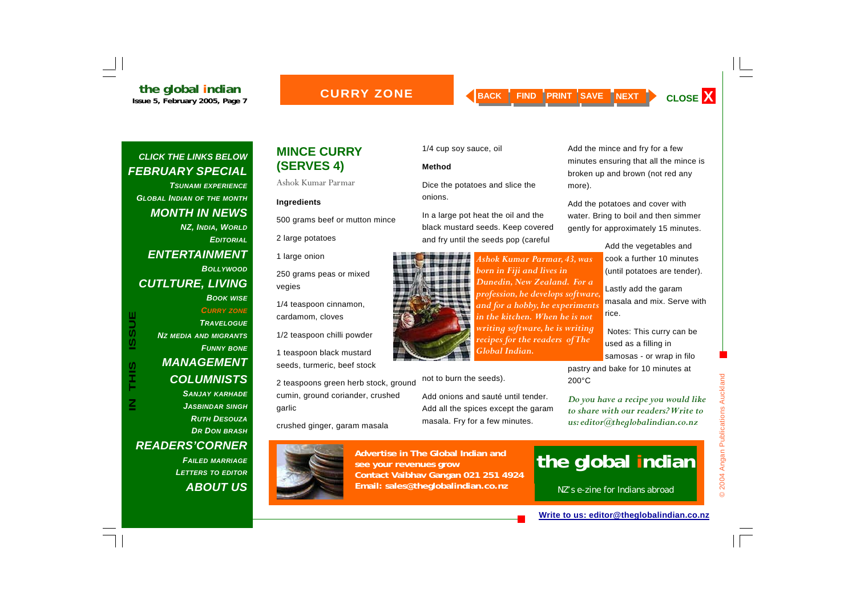*TSUNAMI EXPERIENCEGLOBAL INDIAN OF THE MONTH MONTH IN NEWS NZ, INDIA, WORLD EDITORIALENTERTAINMENT BOLLYWOODCUTLTURE, LIVING BOOK WISE CURRY ZONE*

#### *TRAVELOGUENZ MEDIA AND MIGRANTS FUNNY BONE MANAGEMENT COLUMNISTS SANJAY KARHADE JASBINDAR SINGH RUTH DESOUZADR DON BRASH READERS'CORNER*

*FAILED MARRIAGE LETTERS TO EDITOR ABOUT US*

### **MINCE CURRY (SERVES 4)**

Ashok Kumar Parmar

#### **Ingredients**

500 grams beef or mutton mince

2 large potatoes

1 large onion

250 grams peas or mixed vegies

1/4 teaspoon cinnamon, cardamom, cloves

1/2 teaspoon chilli powder

1 teaspoon black mustard seeds, turmeric, beef stock

2 teaspoons green herb stock, ground cumin, ground coriander, crushed garlic

crushed ginger, garam masala



**Advertise in The Global Indian and see your revenues grow Contact Vaibhav Gangan 021 251 4924 Email: sales@theglobalindian.co.nz**

#### 1/4 cup soy sauce, oil

#### **Method**

Dice the potatoes and slice the onions.

In a large pot heat the oil and the black mustard seeds. Keep covered and fry until the seeds pop (careful



not to burn the seeds).

Add onions and sauté until tender. Add all the spices except the garam

masala. Fry for a few minutes.

*Ashok Kumar Parmar, 43, was born in Fiji and lives in Dunedin, New Zealand. For a profession, he develops software, and for a hobby, he experiments in the kitchen. When he is not writing software, he is writing recipes for the readers of The Global Indian.* 

Add the mince and fry for a few minutes ensuring that all the mince is broken up and brown (not red any more).

Add the potatoes and cover with water. Bring to boil and then simmer gently for approximately 15 minutes.

> Add the vegetables and cook a further 10 minutes (until potatoes are tender).

Lastly add the garam masala and mix. Serve with rice.

 Notes: This curry can be used as a filling in samosas - or wrap in filo

pastry and bake for 10 minutes at 200°C

*Do you have a recipe you would like to share with our readers? Write to us: editor@theglobalindian.co.nz* 

# **the global indian**

NZ's e-zine for Indians abroad

#### **Write to us: editor@theglobalindian.co.nz**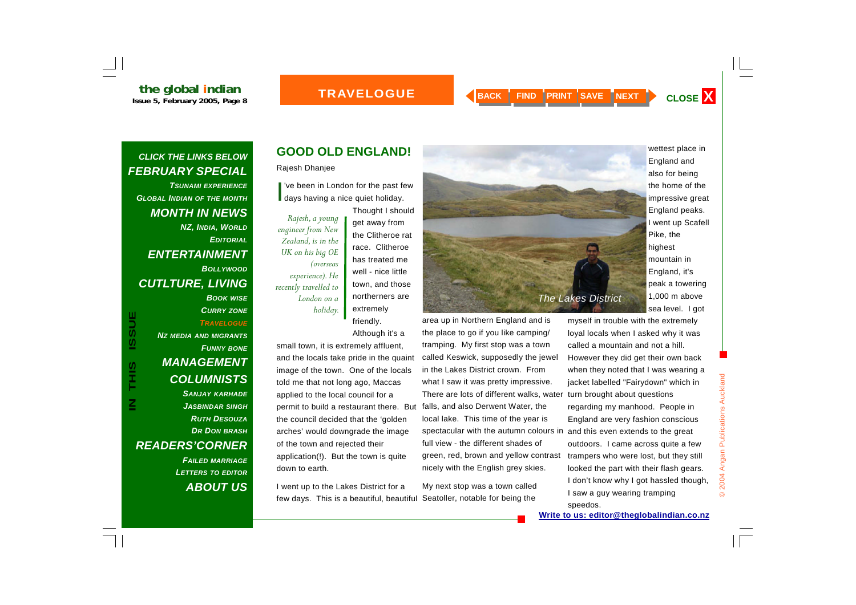## **the global indian**<br> **Issue 5, February 2005, Page 8**

#### **TRAVELOGUE**



#### *CLICK THE LINKS BELOW FEBRUARY SPECIAL*

*TSUNAMI EXPERIENCEGLOBAL INDIAN OF THE MONTH MONTH IN NEWS NZ, INDIA, WORLD EDITORIALENTERTAINMENT BOLLYWOODCUTLTURE, LIVING BOOK WISE CURRY ZONE* **ISSUE** *TRAVELOGUENZ MEDIA AND MIGRANTS*

*FUNNY BONE MANAGEMENT COLUMNISTS SANJAY KARHADE JASBINDAR SINGH RUTH DESOUZADR DON BRASH READERS'CORNER FAILED MARRIAGE*

**IN THIS ISSUE**

**SIHL** 

*LETTERS TO EDITOR ABOUT US*

### **GOOD OLD ENGLAND!**

Rajesh Dhanjee

I've been in London for the past few<br>days having a nice quiet holiday.

*Rajesh, a young engineer from New Zealand, is in the UK on his big OE (overseas experience). He recently travelled to London on a holiday.*  Thought I should get away from the Clitheroe rat race. Clitheroe has treated me well - nice little town, and those northerners are extremely friendly.

Although it's a

small town, it is extremely affluent, and the locals take pride in the quaint image of the town. One of the locals told me that not long ago, Maccas applied to the local council for a permit to build a restaurant there. But the council decided that the 'golden arches' would downgrade the image of the town and rejected their application(!). But the town is quite down to earth.

I went up to the Lakes District for a few days. This is a beautiful, beautiful



area up in Northern England and is the place to go if you like camping/ tramping. My first stop was a town called Keswick, supposedly the jewel in the Lakes District crown. From what I saw it was pretty impressive. There are lots of different walks, water falls, and also Derwent Water, the local lake. This time of the year is spectacular with the autumn colours in and this even extends to the great full view - the different shades of green, red, brown and yellow contrast nicely with the English grey skies.

My next stop was a town called Seatoller, notable for being the

England and also for being the home of the impressive great England peaks. I went up Scafell Pike, the highest mountain in England, it's peak a towering 1,000 m above sea level. I got

wettest place in

speedos.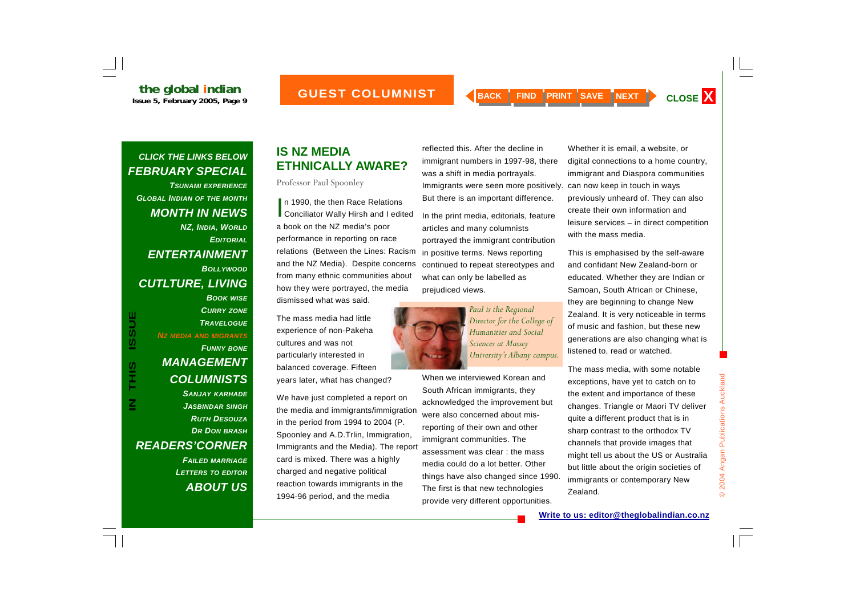*TSUNAMI EXPERIENCEGLOBAL INDIAN OF THE MONTH MONTH IN NEWS NZ, INDIA, WORLD EDITORIALENTERTAINMENT BOLLYWOODCUTLTURE, LIVING BOOK WISE CURRY ZONE TRAVELOGUENZ MEDIA AND MIGRANTS FUNNY BONE MANAGEMENT COLUMNISTS* 

> *SANJAY KARHADE JASBINDAR SINGH RUTH DESOUZADR DON BRASH*

*FAILED MARRIAGE LETTERS TO EDITOR*

*ABOUT US*

*READERS'CORNER* 

**IN THIS ISSUE**

**SIHL** 

**ISSUE** 

### **IS NZ MEDIA ETHNICALLY AWARE?**

Professor Paul Spoonley

In 1990, the then Race Relations<br>Conciliator Wally Hirsh and I edited a book on the NZ media's poor performance in reporting on race relations (Between the Lines: Racism and the NZ Media). Despite concerns from many ethnic communities about how they were portrayed, the media dismissed what was said.

The mass media had little experience of non-Pakeha cultures and was not particularly interested in balanced coverage. Fifteen years later, what has changed?

We have just completed a report on the media and immigrants/immigration in the period from 1994 to 2004 (P. Spoonley and A.D.Trlin, Immigration, Immigrants and the Media). The report card is mixed. There was a highly charged and negative political reaction towards immigrants in the 1994-96 period, and the media

reflected this. After the decline in immigrant numbers in 1997-98, there was a shift in media portrayals. Immigrants were seen more positively. But there is an important difference.

In the print media, editorials, feature articles and many columnists portrayed the immigrant contribution in positive terms. News reporting continued to repeat stereotypes and what can only be labelled as prejudiced views.



*Paul is the Regional Director for the College of Humanities and Social Sciences at Massey University's Albany campus.* 

When we interviewed Korean and South African immigrants, they acknowledged the improvement but were also concerned about misreporting of their own and other immigrant communities. The assessment was clear : the mass media could do a lot better. Other things have also changed since 1990. The first is that new technologies provide very different opportunities.

Whether it is email, a website, or digital connections to a home country, immigrant and Diaspora communities can now keep in touch in ways previously unheard of. They can also create their own information and leisure services – in direct competition with the mass media.

This is emphasised by the self-aware and confidant New Zealand-born or educated. Whether they are Indian or Samoan, South African or Chinese, they are beginning to change New Zealand. It is very noticeable in terms of music and fashion, but these new generations are also changing what is listened to, read or watched.

The mass media, with some notable exceptions, have yet to catch on to the extent and importance of these changes. Triangle or Maori TV deliver quite a different product that is in sharp contrast to the orthodox TV channels that provide images that might tell us about the US or Australia but little about the origin societies of immigrants or contemporary New Zealand.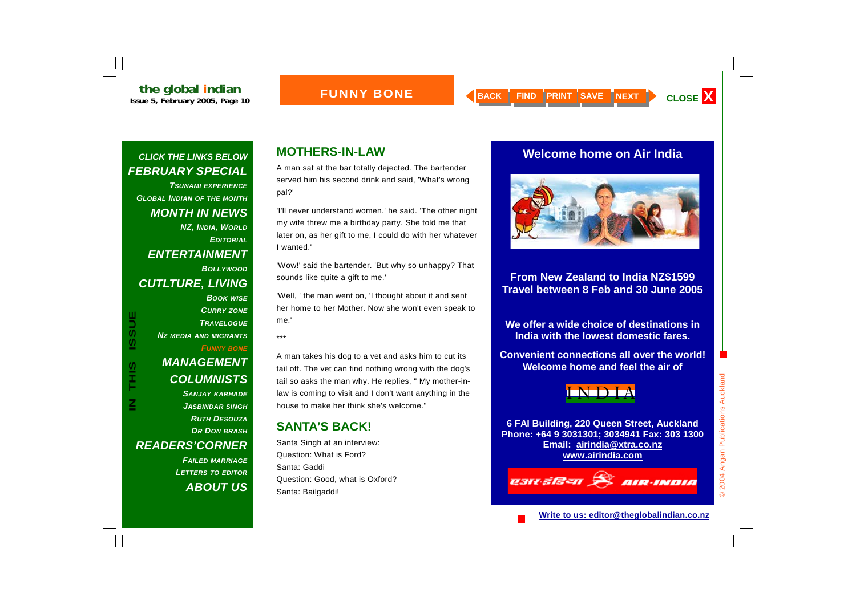#### **FUNNY BONE**

#### *CLICK THE LINKS BELOW FEBRUARY SPECIAL*

*TSUNAMI EXPERIENCEGLOBAL INDIAN OF THE MONTH MONTH IN NEWS NZ, INDIA, WORLD EDITORIALENTERTAINMENT BOLLYWOODCUTLTURE, LIVING* 

*BOOK WISE CURRY ZONE TRAVELOGUENZ MEDIA AND MIGRANTS FUNNY BONE MANAGEMENT* 

#### *COLUMNISTS SANJAY KARHADE JASBINDAR SINGH RUTH DESOUZADR DON BRASH*

*READERS'CORNER* 

*FAILED MARRIAGE LETTERS TO EDITOR ABOUT US*

#### **MOTHERS-IN-LAW**

A man sat at the bar totally dejected. The bartender served him his second drink and said, 'What's wrong pal?'

'I'll never understand women.' he said. 'The other night my wife threw me a birthday party. She told me that later on, as her gift to me, I could do with her whatever I wanted.'

'Wow!' said the bartender. 'But why so unhappy? That sounds like quite a gift to me.'

'Well, ' the man went on, 'I thought about it and sent her home to her Mother. Now she won't even speak to me.'

\*\*\*

A man takes his dog to a vet and asks him to cut its tail off. The vet can find nothing wrong with the dog's tail so asks the man why. He replies, " My mother-inlaw is coming to visit and I don't want anything in the house to make her think she's welcome."

#### **SANTA'S BACK!**

Santa Singh at an interview: Question: What is Ford? Santa: Gaddi Question: Good, what is Oxford? Santa: Bailgaddi!

#### **Welcome home on Air India**



#### **From New Zealand to India NZ\$1599 Travel between 8 Feb and 30 June 2005**

**We offer a wide choice of destinations in India with the lowest domestic fares.** 

**Convenient connections all over the world! Welcome home and feel the air of** 



**6 FAI Building, 220 Queen Street, Auckland Phone: +64 9 3031301; 3034941 Fax: 303 1300 Email: airindia@xtra.co.nz www.airindia.com**

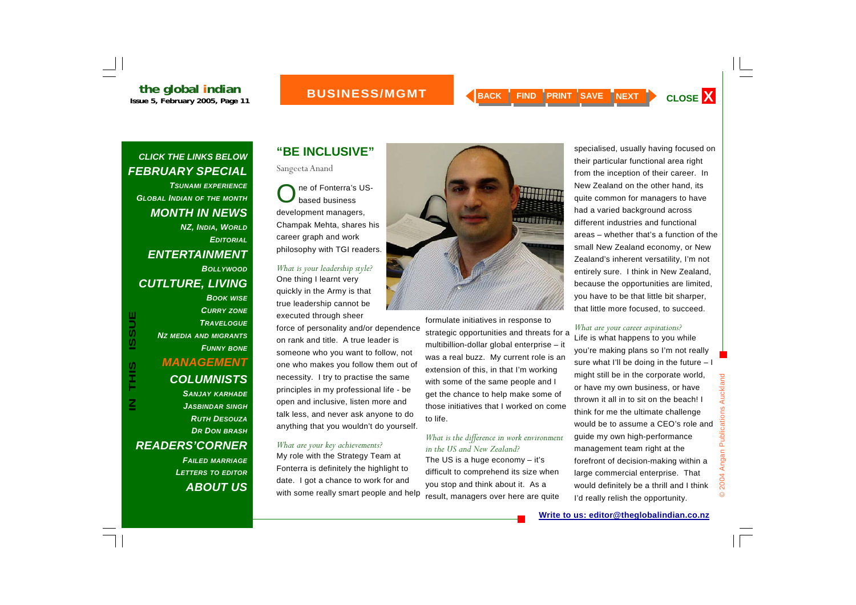## **the global indian**<br>Issue 5, February 2005, Page 11

#### **BUSINESS/ MANAGEMENT**

#### *CLICK THE LINKS BELOW FEBRUARY SPECIAL*

*TSUNAMI EXPERIENCEGLOBAL INDIAN OF THE MONTH MONTH IN NEWS NZ, INDIA, WORLD EDITORIALENTERTAINMENT BOLLYWOODCUTLTURE, LIVING* 

# *BOOK WISE CURRY ZONE*

*TRAVELOGUENZ MEDIA AND MIGRANTS FUNNY BONE MANAGEMENT COLUMNISTS SANJAY KARHADE JASBINDAR SINGH RUTH DESOUZADR DON BRASH*

*READERS'CORNER* 

*FAILED MARRIAGE LETTERS TO EDITOR ABOUT US*

#### **"BE INCLUSIVE"**

Sangeeta Anand

ne of Fonterra's US-<br>based business development managers, Champak Mehta, shares his career graph and work philosophy with TGI readers.

#### *What is your leadership style?*  One thing I learnt very quickly in the Army is that

true leadership cannot be executed through sheer

force of personality and/or dependence on rank and title. A true leader is someone who you want to follow, not one who makes you follow them out of necessity. I try to practise the same principles in my professional life - be open and inclusive, listen more and talk less, and never ask anyone to do anything that you wouldn't do yourself.

#### *What are your key achievements?*

My role with the Strategy Team at Fonterra is definitely the highlight to date. I got a chance to work for and with some really smart people and help



formulate initiatives in response to strategic opportunities and threats for a multibillion-dollar global enterprise – it was a real buzz. My current role is an extension of this, in that I'm working with some of the same people and I get the chance to help make some of those initiatives that I worked on come to life.

#### *What is the difference in work environment in the US and New Zealand?*

The US is a huge economy – it's difficult to comprehend its size when you stop and think about it. As a result, managers over here are quite specialised, usually having focused on their particular functional area right from the inception of their career. In New Zealand on the other hand, its quite common for managers to have had a varied background across different industries and functional areas – whether that's a function of the small New Zealand economy, or New Zealand's inherent versatility, I'm not entirely sure. I think in New Zealand, because the opportunities are limited, you have to be that little bit sharper, that little more focused, to succeed.

#### *What are your career aspirations?*

Life is what happens to you while you're making plans so I'm not really sure what I'll be doing in the future – I might still be in the corporate world, or have my own business, or have thrown it all in to sit on the beach! I think for me the ultimate challenge would be to assume a CEO's role and guide my own high-performance management team right at the forefront of decision-making within a large commercial enterprise. That would definitely be a thrill and I think I'd really relish the opportunity.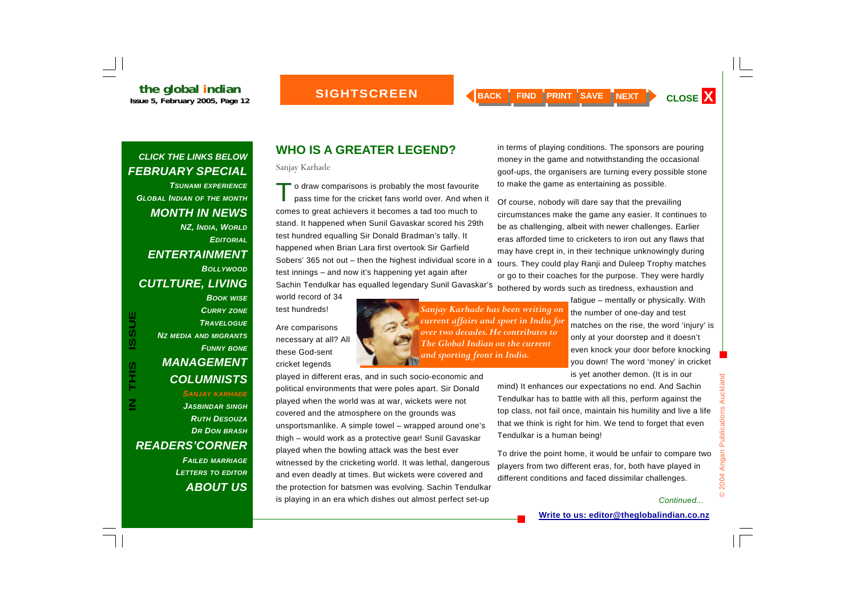*TSUNAMI EXPERIENCEGLOBAL INDIAN OF THE MONTH MONTH IN NEWS NZ, INDIA, WORLD EDITORIALENTERTAINMENT BOLLYWOODCUTLTURE, LIVING BOOK WISE*

#### *NZ MEDIA AND MIGRANTS FUNNY BONE MANAGEMENT COLUMNISTS SANJAY KARHADE JASBINDAR SINGH RUTH DESOUZADR DON BRASH*

*CURRY ZONE TRAVELOGUE*

*READERS'CORNER FAILED MARRIAGE LETTERS TO EDITOR ABOUT US*

### **WHO IS A GREATER LEGEND?**

Sanjay Karhade

To draw comparisons is probably the most favourite pass time for the cricket fans world over. And when it comes to great achievers it becomes a tad too much to stand. It happened when Sunil Gavaskar scored his 29th test hundred equalling Sir Donald Bradman's tally. It happened when Brian Lara first overtook Sir Garfield Sobers' 365 not out – then the highest individual score in a test innings – and now it's happening yet again after Sachin Tendulkar has equalled legendary Sunil Gavaskar's

played in different eras, and in such socio-economic and political environments that were poles apart. Sir Donald played when the world was at war, wickets were not covered and the atmosphere on the grounds was

unsportsmanlike. A simple towel – wrapped around one's thigh – would work as a protective gear! Sunil Gavaskar

witnessed by the cricketing world. It was lethal, dangerous and even deadly at times. But wickets were covered and the protection for batsmen was evolving. Sachin Tendulkar is playing in an era which dishes out almost perfect set-up

played when the bowling attack was the best ever

world record of 34 test hundreds!

Are comparisons necessary at all? All these God-sent cricket legends

*Sanjay Karhade has been writing on current affairs and sport in India for over two decades. He contributes to The Global Indian on the current and sporting front in India.* 

bothered by words such as tiredness, exhaustion and fatigue – mentally or physically. With the number of one-day and test matches on the rise, the word 'injury' is only at your doorstep and it doesn't even knock your door before knocking you down! The word 'money' in cricket

is yet another demon. (It is in our

mind) It enhances our expectations no end. And Sachin Tendulkar has to battle with all this, perform against the top class, not fail once, maintain his humility and live a life that we think is right for him. We tend to forget that even Tendulkar is a human being!

in terms of playing conditions. The sponsors are pouring money in the game and notwithstanding the occasional goof-ups, the organisers are turning every possible stone

circumstances make the game any easier. It continues to be as challenging, albeit with newer challenges. Earlier eras afforded time to cricketers to iron out any flaws that may have crept in, in their technique unknowingly during tours. They could play Ranji and Duleep Trophy matches or go to their coaches for the purpose. They were hardly

to make the game as entertaining as possible.

Of course, nobody will dare say that the prevailing

To drive the point home, it would be unfair to compare two players from two different eras, for, both have played in different conditions and faced dissimilar challenges.

#### *Continued...*

© 2004 Angan Publications Auckland

2004 Angan Publications Auckland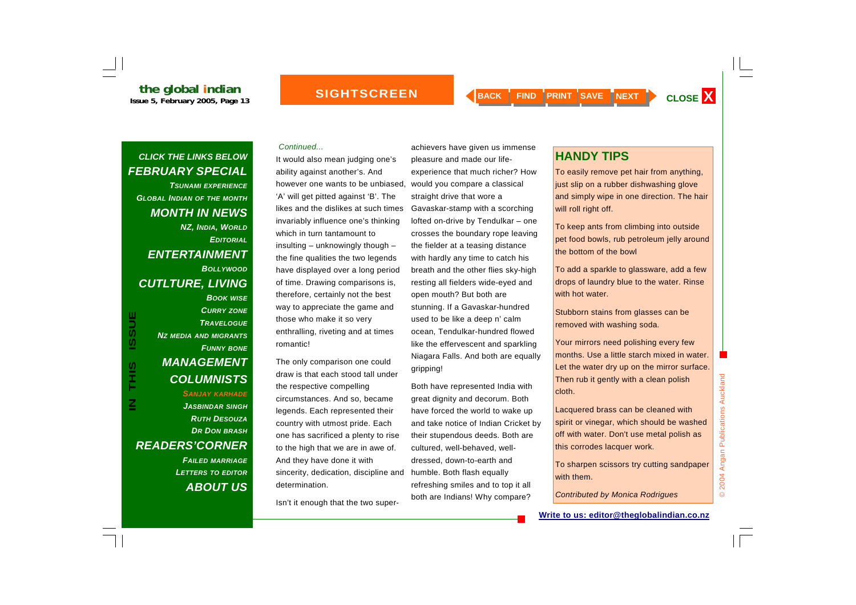#### **SIGHTSCREEN**

#### *CLICK THE LINKS BELOW FEBRUARY SPECIAL*

*TSUNAMI EXPERIENCEGLOBAL INDIAN OF THE MONTH MONTH IN NEWS NZ, INDIA, WORLD EDITORIALENTERTAINMENT BOLLYWOODCUTLTURE, LIVING BOOK WISE*

#### *TRAVELOGUENZ MEDIA AND MIGRANTS FUNNY BONE MANAGEMENT COLUMNISTS SANJAY KARHADE JASBINDAR SINGH RUTH DESOUZADR DON BRASH READERS'CORNER*

*CURRY ZONE*

*FAILED MARRIAGE LETTERS TO EDITOR ABOUT US*

#### *Continued...*

It would also mean judging one's ability against another's. And however one wants to be unbiased, would you compare a classical 'A' will get pitted against 'B'. The likes and the dislikes at such times invariably influence one's thinking which in turn tantamount to insulting – unknowingly though – the fine qualities the two legends have displayed over a long period of time. Drawing comparisons is, therefore, certainly not the best way to appreciate the game and those who make it so very enthralling, riveting and at times romantic!

The only comparison one could draw is that each stood tall under the respective compelling circumstances. And so, became legends. Each represented their country with utmost pride. Each one has sacrificed a plenty to rise to the high that we are in awe of. And they have done it with sincerity, dedication, discipline and determination.

Isn't it enough that the two super-

achievers have given us immense pleasure and made our life experience that much richer? How<br>would you compare a classical<br>straight drive that wore a<br>Gavaskar-stamp with a scorching<br>lofted on-drive by Tendulkar – one<br>crosses the boundary rope leaving<br>the fielder at a teasing distan

dressed, down-to-earth and humble. Both flash equally refreshing smiles and to top it all both are Indians! Why compare?

### **HANDY TIPS**

To easily remove pet hair from anything, just slip on a rubber dishwashing glove and simply wipe in one direction. The hair will roll right off.

To keep ants from climbing into outside pet food bowls, rub petroleum jelly around the bottom of the bowl

To add a sparkle to glassware, add a few drops of laundry blue to the water. Rinse with hot water.

Stubborn stains from glasses can be removed with washing soda.

Your mirrors need polishing every few months. Use a little starch mixed in water. Let the water dry up on the mirror surface. Then rub it gently with a clean polish cloth.

Lacquered brass can be cleaned with spirit or vinegar, which should be washed off with water. Don't use metal polish as this corrodes lacquer work.

To sharpen scissors try cutting sandpaper with them.

*Contributed by Monica Rodrigues* 

a ka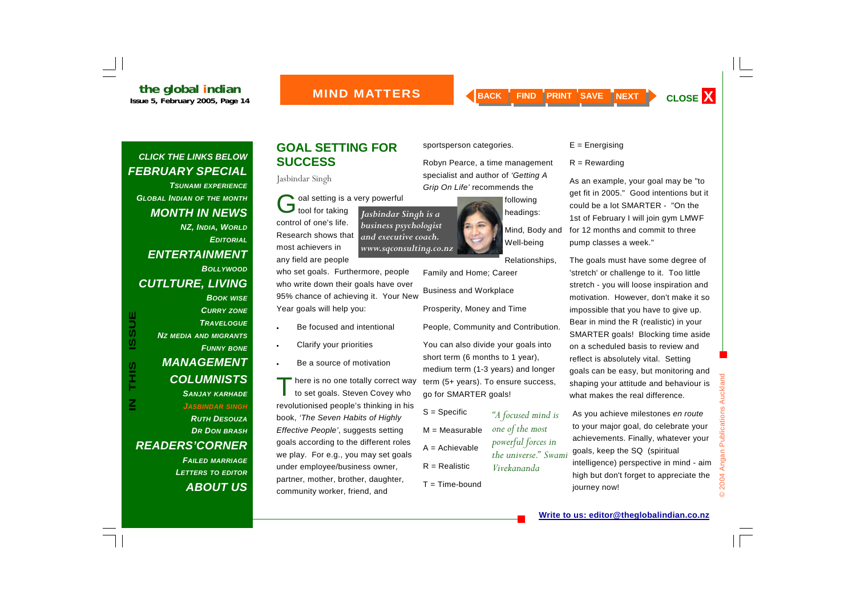#### **MIND MATTERS**

#### *CLICK THE LINKS BELOW FEBRUARY SPECIAL*

*TSUNAMI EXPERIENCEGLOBAL INDIAN OF THE MONTH MONTH IN NEWS NZ, INDIA, WORLD EDITORIALENTERTAINMENT BOLLYWOODCUTLTURE, LIVING BOOK WISE*

*NZ MEDIA AND MIGRANTS*

*MANAGEMENT* 

*COLUMNISTS* 

*CURRY ZONE TRAVELOGUE*

*FUNNY BONE*

#### *SANJAY KARHADE JASBINDAR SINGH RUTH DESOUZADR DON BRASH READERS'CORNER FAILED MARRIAGE LETTERS TO EDITOR ABOUT US*

#### **GOAL SETTING FOR SUCCESS**

Jasbindar Singh

Coal setting is a very powerful<br>bool for taking

*Jasbindar Singh is a business psychologist and executive coach.* 

control of one's life. Research shows that most achievers in any field are people

who set goals. Furthermore, people who write down their goals have over 95% chance of achieving it. Your New Year goals will help you:

- Be focused and intentional
- Clarify your priorities

•

•

•

Be a source of motivation

<sup>'</sup> here is no one totally correct way<br>to set goals. Steven Covey who revolutionised people's thinking in his book, *'The Seven Habits of Highly Effective People'*, suggests setting goals according to the different roles we play. For e.g., you may set goals under employee/business owner, partner, mother, brother, daughter, community worker, friend, and

sportsperson categories.

Robyn Pearce, a time management specialist and author of *'Getting A Grip On Life'* recommends the

> following headings:

Mind, Body and Well-being

Relationships,

*"A focused mind is* 

*one of the most powerful forces in the universe." Swami* 

*Vivekananda*

Family and Home; Career Business and Workplace

Prosperity, Money and Time

People, Community and Contribution.

You can also divide your goals into short term (6 months to 1 year), medium term (1-3 years) and longer term (5+ years). To ensure success, go for SMARTER goals!

- S = Specific M = Measurable A = Achievable
- $R =$  Realistic
- $T = Time$ -bound

 $E =$  Energising

 $R =$  Rewarding

As an example, your goal may be "to get fit in 2005." Good intentions but it could be a lot SMARTER - "On the 1st of February I will join gym LMWF for 12 months and commit to three pump classes a week."

The goals must have some degree of 'stretch' or challenge to it. Too little stretch - you will loose inspiration and motivation. However, don't make it so impossible that you have to give up. Bear in mind the R (realistic) in your SMARTER goals! Blocking time aside on a scheduled basis to review and reflect is absolutely vital. Setting goals can be easy, but monitoring and shaping your attitude and behaviour is what makes the real difference.

As you achieve milestones *en route*  to your major goal, do celebrate your achievements. Finally, whatever your goals, keep the SQ (spiritual intelligence) perspective in mind - aim high but don't forget to appreciate the journey now!

# *www.sqconsulting.co.nz*

**Write to us: editor@theglobalindian.co.nz**

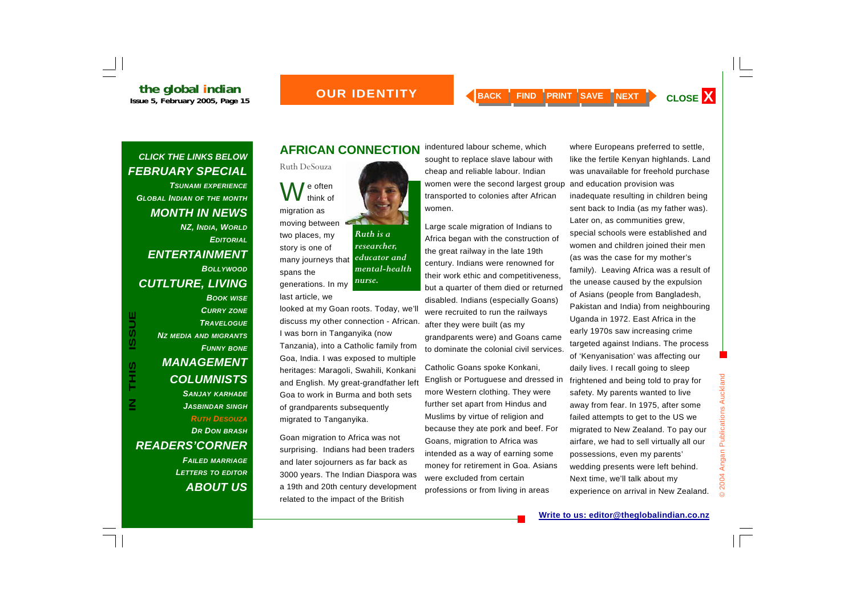# **the global indian**<br>Issue 5, February 2005, Page 15

#### *OUR IDENTITY*

#### *CLICK THE LINKS BELOW FEBRUARY SPECIAL*

*TSUNAMI EXPERIENCEGLOBAL INDIAN OF THE MONTH MONTH IN NEWS NZ, INDIA, WORLD EDITORIALENTERTAINMENT BOLLYWOODCUTLTURE, LIVING BOOK WISE*

> *CURRY ZONE TRAVELOGUE*

*FUNNY BONE*

#### *COLUMNISTS SANJAY KARHADE JASBINDAR SINGH RUTH DESOUZADR DON BRASH READERS'CORNER FAILED MARRIAGE LETTERS TO EDITOR ABOUT US*

*NZ MEDIA AND MIGRANTS*

*MANAGEMENT* 

#### **AFRICAN CONNECTION**

Ruth DeSouza  $\int$  e often<br>think of migration as moving between two places, my story is one of many journeys that spans the generations. In my *Ruth is a researcher, educator and mental-health nurse.* 

last article, we

looked at my Goan roots. Today, we'll discuss my other connection - African. I was born in Tanganyika (now Tanzania), into a Catholic family from Goa, India. I was exposed to multiple heritages: Maragoli, Swahili, Konkani and English. My great-grandfather left Goa to work in Burma and both sets of grandparents subsequently migrated to Tanganyika.

Goan migration to Africa was not surprising. Indians had been traders and later sojourners as far back as 3000 years. The Indian Diaspora was a 19th and 20th century development related to the impact of the British

indentured labour scheme, which sought to replace slave labour with cheap and reliable labour. Indian women were the second largest group transported to colonies after African women.

Large scale migration of Indians to Africa began with the construction of the great railway in the late 19th century. Indians were renowned for their work ethic and competitiveness, but a quarter of them died or returned disabled. Indians (especially Goans) were recruited to run the railways after they were built (as my grandparents were) and Goans came to dominate the colonial civil services.

Catholic Goans spoke Konkani, English or Portuguese and dressed in more Western clothing. They were further set apart from Hindus and Muslims by virtue of religion and because they ate pork and beef. For Goans, migration to Africa was intended as a way of earning some money for retirement in Goa. Asians were excluded from certain professions or from living in areas

where Europeans preferred to settle, like the fertile Kenyan highlands. Land was unavailable for freehold purchase and education provision was inadequate resulting in children being sent back to India (as my father was). Later on, as communities grew, special schools were established and women and children joined their men (as was the case for my mother's family). Leaving Africa was a result of the unease caused by the expulsion of Asians (people from Bangladesh, Pakistan and India) from neighbouring Uganda in 1972. East Africa in the early 1970s saw increasing crime targeted against Indians. The process of 'Kenyanisation' was affecting our daily lives. I recall going to sleep frightened and being told to pray for safety. My parents wanted to live away from fear. In 1975, after some failed attempts to get to the US we migrated to New Zealand. To pay our airfare, we had to sell virtually all our possessions, even my parents' wedding presents were left behind. Next time, we'll talk about my experience on arrival in New Zealand.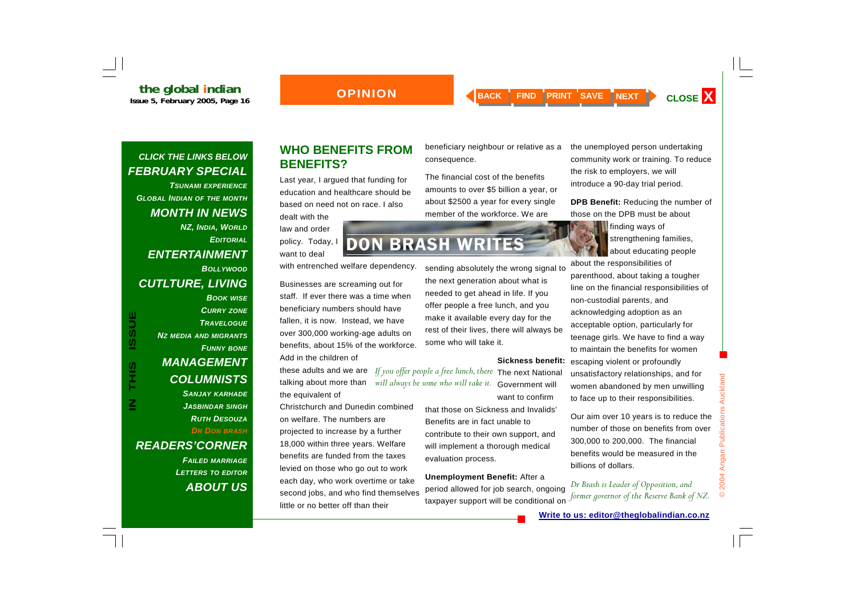#### **OPINION**

#### *CLICK THE LINKS BELOW FEBRUARY SPECIAL*

*TSUNAMI EXPERIENCEGLOBAL INDIAN OF THE MONTH MONTH IN NEWS NZ, INDIA, WORLD EDITORIALENTERTAINMENT BOLLYWOODCUTLTURE, LIVING* 

*BOOK WISE CURRY ZONE TRAVELOGUENZ MEDIA AND MIGRANTS FUNNY BONE MANAGEMENT COLUMNISTS SANJAY KARHADE JASBINDAR SINGH RUTH DESOUZAD R DON BRASH READERS'CORNER* 

> *FAILED MARRIAGE LETTERS TO EDITOR ABOUT US*

#### **WHO BENEFITS FROM BENEFITS?**

Last year, I argued that funding for education and healthcare should be based on need not on race. I also

dealt with the law and order policy. Today, I want to deal

with entrenched welfare dependency.

Businesses are screaming out for staff. If ever there was a time when beneficiary numbers should have fallen, it is now. Instead, we have over 300,000 working-age adults on benefits, about 15% of the workforce. Add in the children of

these adults and we are talking about more than the equivalent of

Christchurch and Dunedin combined on welfare. The numbers are projected to increase by a further 18,000 within three years. Welfare benefits are funded from the taxes levied on those who go out to work each day, who work overtime or take second jobs, and who find themselves little or no better off than their

beneficiary neighbour or relative as a consequence.

The financial cost of the benefits amounts to over \$5 billion a year, or about \$2500 a year for every single member of the workforce. We are

the unemployed person undertaking community work or training. To reduce the risk to employers, we will introduce a 90-day trial period.

**DPB Benefit:** Reducing the number of those on the DPB must be about

about educating people

about the responsibilities of parenthood, about taking a tougher line on the financial responsibilities of non-custodial parents, and acknowledging adoption as an acceptable option, particularly for teenage girls. We have to find a way to maintain the benefits for women escaping violent or profoundly unsatisfactory relationships, and for women abandoned by men unwilling to face up to their responsibilities.

Our aim over 10 years is to reduce the number of those on benefits from over 300,000 to 200,000. The financial benefits would be measured in the billions of dollars.

*Dr Brash is Leader of Opposition, and former governor of the Reserve Bank of NZ.* 

© 2004 Angan Publications Auckland

2004 Angan Publications

 $\odot$ 

Auckland

**DON BRASH WRITES** 

sending absolutely the wrong signal to the next generation about what is needed to get ahead in life. If you offer people a free lunch, and you

make it available every day for the rest of their lives, there will always be some who will take it.

#### **Sickness benefit:**

If you offer people a free lunch, there The next National will always be some who will take it. Government will want to confirm

> that those on Sickness and Invalids' Benefits are in fact unable to contribute to their own support, and will implement a thorough medical evaluation process.

#### **Unemployment Benefit:** After a period allowed for job search, ongoing taxpayer support will be conditional on

**finding ways of** strengthening families,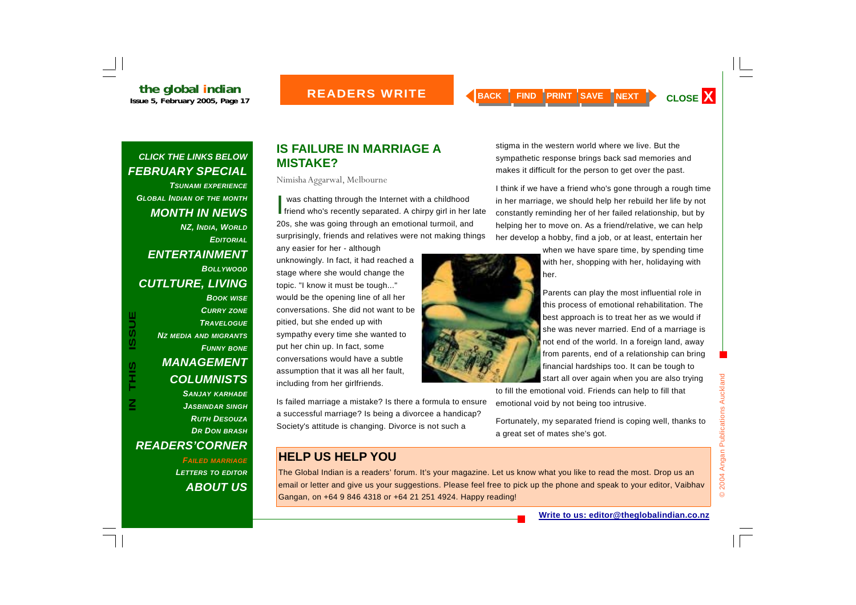*TSUNAMI EXPERIENCEGLOBAL INDIAN OF THE MONTH MONTH IN NEWS NZ, INDIA, WORLD EDITORIAL ENTERTAINMENT BOLLYWOODCUTLTURE, LIVING BOOK WISE*

**IN THIS ISSUEUSSI** SIHL<br>T

*CURRY ZONE TRAVELOGUENZ MEDIA AND MIGRANTS FUNNY BONE MANAGEMENT COLUMNISTS SANJAY KARHADE JASBINDAR SINGH RUTH DESOUZADR DON BRASH READERS'CORNER* 

> *FAILED MARRIAGE LETTERS TO EDITOR ABOUT US*

#### **IS FAILURE IN MARRIAGE A MISTAKE?**

Nimisha Aggarwal, Melbourne

I was chatting through the Internet with a childhood<br>friend who's recently separated. A chirpy girl in her late 20s, she was going through an emotional turmoil, and surprisingly, friends and relatives were not making things any easier for her - although

unknowingly. In fact, it had reached a stage where she would change the topic. "I know it must be tough..." would be the opening line of all her conversations. She did not want to be pitied, but she ended up with sympathy every time she wanted to put her chin up. In fact, some conversations would have a subtle assumption that it was all her fault, including from her girlfriends.

Is failed marriage a mistake? Is there a formula to ensure a successful marriage? Is being a divorcee a handicap? Society's attitude is changing. Divorce is not such a

### **HELP US HELP YOU**

The Global Indian is a readers' forum. It's your magazine. Let us know what you like to read the most. Drop us an email or letter and give us your suggestions. Please feel free to pick up the phone and speak to your editor, Vaibhav Gangan, on +64 9 846 4318 or +64 21 251 4924. Happy reading!

stigma in the western world where we live. But the sympathetic response brings back sad memories and makes it difficult for the person to get over the past.

I think if we have a friend who's gone through a rough time in her marriage, we should help her rebuild her life by not constantly reminding her of her failed relationship, but by helping her to move on. As a friend/relative, we can help her develop a hobby, find a job, or at least, entertain her

> when we have spare time, by spending time with her, shopping with her, holidaying with her.

> Parents can play the most influential role in this process of emotional rehabilitation. The best approach is to treat her as we would if she was never married. End of a marriage is not end of the world. In a foreign land, away from parents, end of a relationship can bring financial hardships too. It can be tough to start all over again when you are also trying

to fill the emotional void. Friends can help to fill that emotional void by not being too intrusive.

Fortunately, my separated friend is coping well, thanks to a great set of mates she's got.

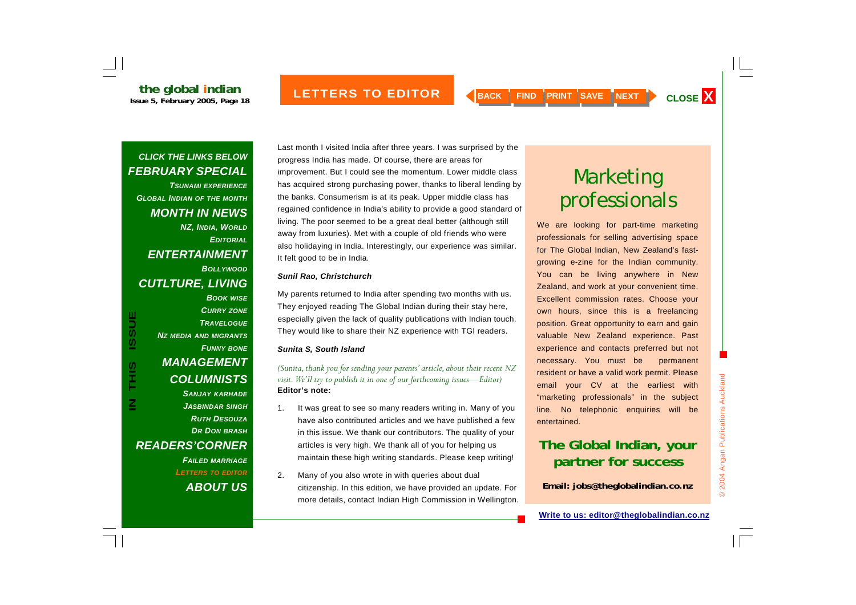*TSUNAMI EXPERIENCEGLOBAL INDIAN OF THE MONTH MONTH IN NEWS NZ, INDIA, WORLD EDITORIALENTERTAINMENT BOLLYWOODCUTLTURE, LIVING* 

*BOOK WISE CURRY ZONE TRAVELOGUENZ MEDIA AND MIGRANTS FUNNY BONE MANAGEMENT COLUMNISTS SANJAY KARHADE JASBINDAR SINGH RUTH DESOUZADR DON BRASH READERS'CORNER FAILED MARRIAGE LETTERS TO EDITOR ABOUT US*

Last month I visited India after three years. I was surprised by the progress India has made. Of course, there are areas for improvement. But I could see the momentum. Lower middle class has acquired strong purchasing power, thanks to liberal lending by the banks. Consumerism is at its peak. Upper middle class has regained confidence in India's ability to provide a good standard of living. The poor seemed to be a great deal better (although still away from luxuries). Met with a couple of old friends who were also holidaying in India. Interestingly, our experience was similar. It felt good to be in India.

#### *Sunil Rao, Christchurch*

My parents returned to India after spending two months with us. They enjoyed reading The Global Indian during their stay here, especially given the lack of quality publications with Indian touch. They would like to share their NZ experience with TGI readers.

#### *Sunita S, South Island*

*(Sunita, thank you for sending your parents' article, about their recent NZ visit. We'll try to publish it in one of our forthcoming issues—Editor)*  **Editor's note:** 

- 1. It was great to see so many readers writing in. Many of you have also contributed articles and we have published a few in this issue. We thank our contributors. The quality of your articles is very high. We thank all of you for helping us maintain these high writing standards. Please keep writing!
- 2. Many of you also wrote in with queries about dual citizenship. In this edition, we have provided an update. For more details, contact Indian High Commission in Wellington.

# Marketing professionals

We are looking for part-time marketing professionals for selling advertising space for The Global Indian, New Zealand's fastgrowing e-zine for the Indian community. You can be living anywhere in New Zealand, and work at your convenient time. Excellent commission rates. Choose your own hours, since this is a freelancing position. Great opportunity to earn and gain valuable New Zealand experience. Past experience and contacts preferred but not necessary. You must be permanent resident or have a valid work permit. Please email your CV at the earliest with "marketing professionals" in the subject line. No telephonic enquiries will be entertained.

### **The Global Indian, your partner for success**

**Email: jobs@theglobalindian.co.nz**